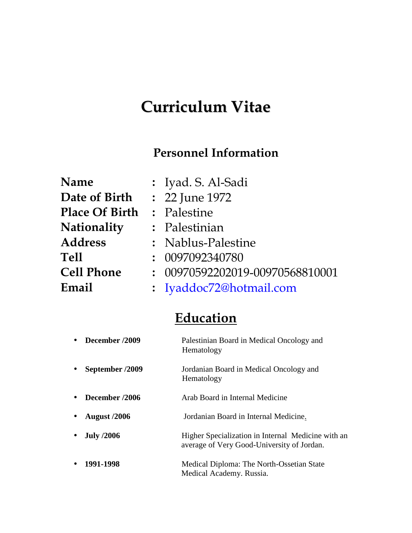# **Curriculum Vitae**

#### **Personnel Information**

| Name                  | : Iyad. S. Al-Sadi              |
|-----------------------|---------------------------------|
| Date of Birth         | : 22 June 1972                  |
| <b>Place Of Birth</b> | : Palestine                     |
| Nationality           | : Palestinian                   |
| <b>Address</b>        | : Nablus-Palestine              |
| Tell                  | : 0097092340780                 |
| <b>Cell Phone</b>     | : 00970592202019-00970568810001 |
| Email                 | : Iyaddoc72@hotmail.com         |
|                       |                                 |

### **Education**

| December /2009      | Palestinian Board in Medical Oncology and<br>Hematology                                          |
|---------------------|--------------------------------------------------------------------------------------------------|
| September /2009     | Jordanian Board in Medical Oncology and<br>Hematology                                            |
| December /2006      | Arab Board in Internal Medicine                                                                  |
| <b>August</b> /2006 | Jordanian Board in Internal Medicine.                                                            |
| <b>July /2006</b>   | Higher Specialization in Internal Medicine with an<br>average of Very Good-University of Jordan. |
| 1991-1998           | Medical Diploma: The North-Ossetian State<br>Medical Academy. Russia.                            |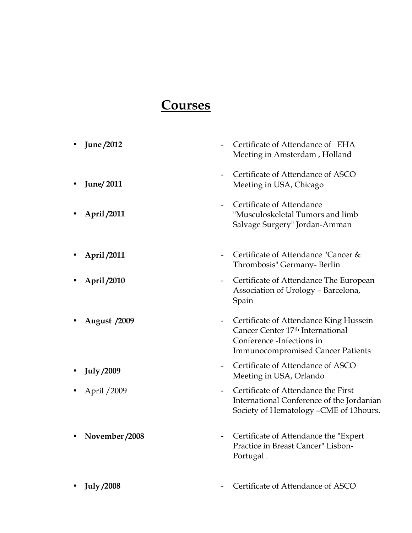#### **Courses**

 **June /2012 June/ 2011 April /2011** - Certificate of Attendance of EHA Meeting in Amsterdam , Holland - Certificate of Attendance of ASCO Meeting in USA, Chicago - Certificate of Attendance "Musculoskeletal Tumors and limb Salvage Surgery" Jordan-Amman **April** /2011 **- Certificate of Attendance "Cancer &** Thrombosis" Germany- Berlin **April /2010** - Certificate of Attendance The European Association of Urology – Barcelona, Spain • **August /2009** - Certificate of Attendance King Hussein Cancer Center 17th International Conference -Infections in Immunocompromised Cancer Patients **July /2009** - Certificate of Attendance of ASCO Meeting in USA, Orlando • April / 2009 **-** Certificate of Attendance the First International Conference of the Jordanian Society of Hematology –CME of 13hours. • **November /2008** - Certificate of Attendance the "Expert" Practice in Breast Cancer" Lisbon- Portugal . **July /2008** - Certificate of Attendance of ASCO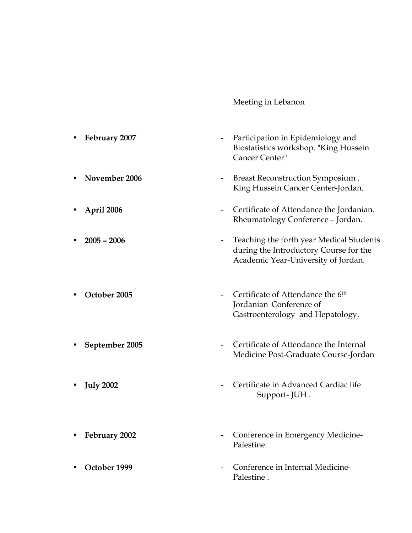#### Meeting in Lebanon

- **February 2007** Participation in Epidemiology and Biostatistics workshop. "King Hussein Cancer Center"
- **November 2006** Breast Reconstruction Symposium . King Hussein Cancer Center-Jordan.
- **April 2006 Certificate of Attendance the Jordanian.** Rheumatology Conference – Jordan.
- **2005 2006** Teaching the forth year Medical Students during the Introductory Course for the Academic Year-University of Jordan.
- October 2005 **-** Certificate of Attendance the 6<sup>th</sup> Jordanian Conference of Gastroenterology and Hepatology.
- **September 2005** Certificate of Attendance the Internal Medicine Post-Graduate Course-Jordan
- **July 2002** Certificate in Advanced Cardiac life Support- JUH .
- **February 2002** Conference in Emergency Medicine- Palestine.
- October 1999  **Conference in Internal Medicine** Palestine .
- 
- 
- 
- 
- 
- 
- 
-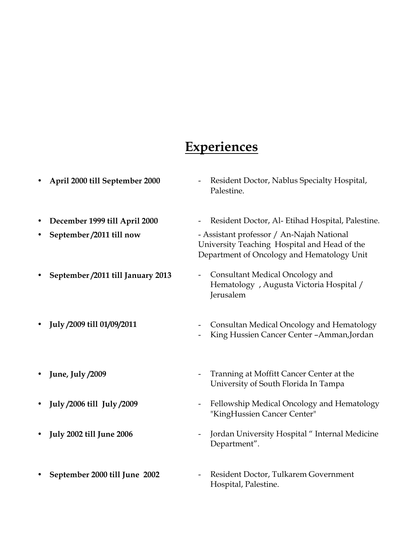## **Experiences**

| April 2000 till September 2000    | Resident Doctor, Nablus Specialty Hospital,<br>Palestine.                                                                               |
|-----------------------------------|-----------------------------------------------------------------------------------------------------------------------------------------|
| December 1999 till April 2000     | Resident Doctor, Al- Etihad Hospital, Palestine.                                                                                        |
| September /2011 till now          | - Assistant professor / An-Najah National<br>University Teaching Hospital and Head of the<br>Department of Oncology and Hematology Unit |
| September /2011 till January 2013 | Consultant Medical Oncology and<br>$\overline{\phantom{a}}$<br>Hematology , Augusta Victoria Hospital /<br>Jerusalem                    |
| July /2009 till 01/09/2011        | Consultan Medical Oncology and Hematology<br>King Hussien Cancer Center - Amman, Jordan                                                 |
| June, July /2009                  | Tranning at Moffitt Cancer Center at the<br>$\overline{\phantom{a}}$<br>University of South Florida In Tampa                            |
| July /2006 till July /2009        | Fellowship Medical Oncology and Hematology<br>$\qquad \qquad \blacksquare$<br>"KingHussien Cancer Center"                               |
| <b>July 2002 till June 2006</b>   | Jordan University Hospital "Internal Medicine<br>$\qquad \qquad$<br>Department".                                                        |
|                                   |                                                                                                                                         |

 **September 2000 till June 2002** - Resident Doctor, Tulkarem Government Hospital, Palestine.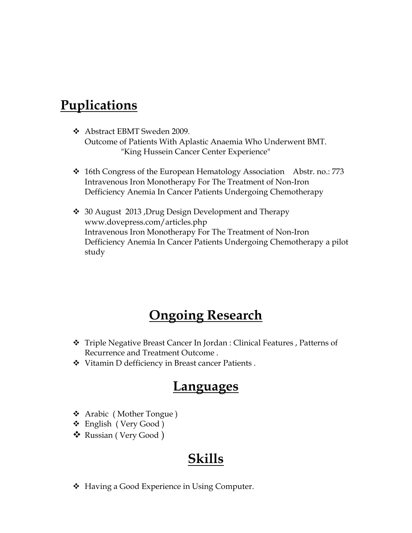#### **Puplications**

- Abstract EBMT Sweden 2009. Outcome of Patients With Aplastic Anaemia Who Underwent BMT. "King Hussein Cancer Center Experience"
- $\div$  16th Congress of the European Hematology Association Abstr. no.: 773 Intravenous Iron Monotherapy For The Treatment of Non-Iron Defficiency Anemia In Cancer Patients Undergoing Chemotherapy
- 30 August 2013 ,Drug Design Development and Therapy www.dovepress.com/articles.php Intravenous Iron Monotherapy For The Treatment of Non-Iron Defficiency Anemia In Cancer Patients Undergoing Chemotherapy a pilot study

#### **Ongoing Research**

- Triple Negative Breast Cancer In Jordan : Clinical Features , Patterns of Recurrence and Treatment Outcome .
- Vitamin D defficiency in Breast cancer Patients .

#### **Languages**

- Arabic ( Mother Tongue )
- English ( Very Good )
- Russian ( Very Good )

#### **Skills**

❖ Having a Good Experience in Using Computer.